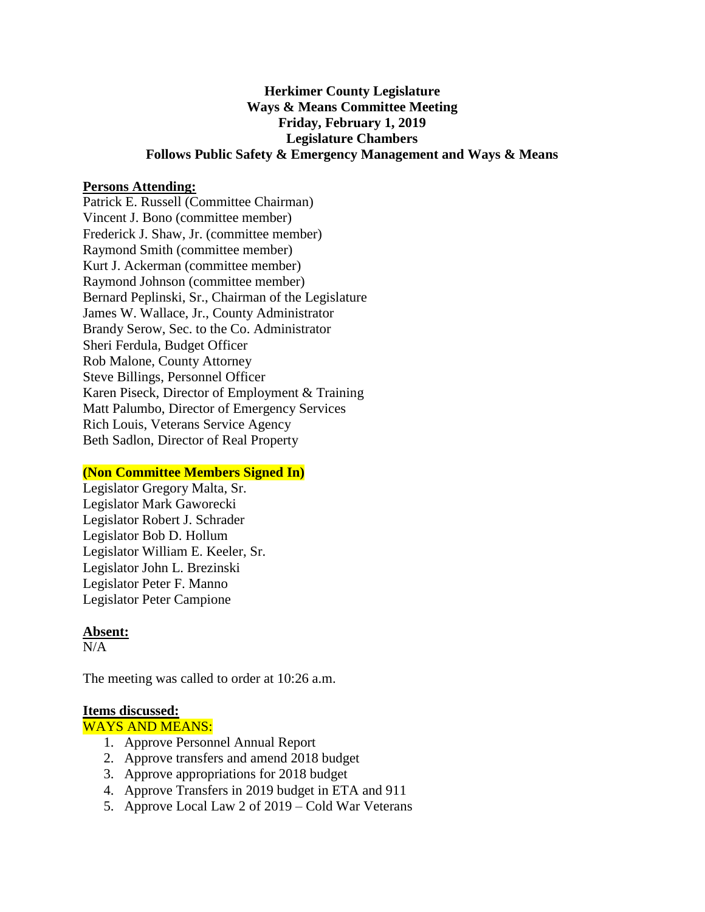# **Herkimer County Legislature Ways & Means Committee Meeting Friday, February 1, 2019 Legislature Chambers Follows Public Safety & Emergency Management and Ways & Means**

#### **Persons Attending:**

Patrick E. Russell (Committee Chairman) Vincent J. Bono (committee member) Frederick J. Shaw, Jr. (committee member) Raymond Smith (committee member) Kurt J. Ackerman (committee member) Raymond Johnson (committee member) Bernard Peplinski, Sr., Chairman of the Legislature James W. Wallace, Jr., County Administrator Brandy Serow, Sec. to the Co. Administrator Sheri Ferdula, Budget Officer Rob Malone, County Attorney Steve Billings, Personnel Officer Karen Piseck, Director of Employment & Training Matt Palumbo, Director of Emergency Services Rich Louis, Veterans Service Agency Beth Sadlon, Director of Real Property

## **(Non Committee Members Signed In)**

Legislator Gregory Malta, Sr. Legislator Mark Gaworecki Legislator Robert J. Schrader Legislator Bob D. Hollum Legislator William E. Keeler, Sr. Legislator John L. Brezinski Legislator Peter F. Manno Legislator Peter Campione

## **Absent:**

 $N/A$ 

The meeting was called to order at 10:26 a.m.

#### **Items discussed:**

WAYS AND MEANS:

- 1. Approve Personnel Annual Report
- 2. Approve transfers and amend 2018 budget
- 3. Approve appropriations for 2018 budget
- 4. Approve Transfers in 2019 budget in ETA and 911
- 5. Approve Local Law 2 of 2019 Cold War Veterans